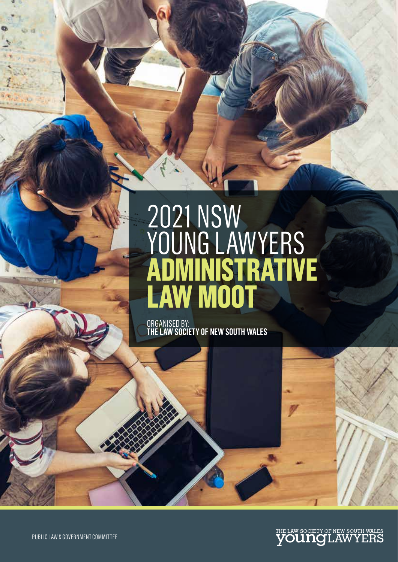# 2021 NSW YOUNG LAWYERS **ADMINISTRATIVE LAW MOOT**

ORGANISED BY: **THE LAW SOCIETY OF NEW SOUTH WALES**

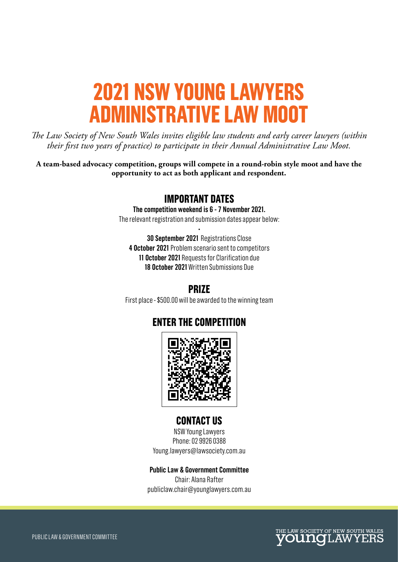## **2021 NSW YOUNG LAWYERS ADMINISTRATIVE LAW MOOT**

*The Law Society of New South Wales invites eligible law students and early career lawyers (within their first two years of practice) to participate in their Annual Administrative Law Moot.*

**A team-based advocacy competition, groups will compete in a round-robin style moot and have the opportunity to act as both applicant and respondent.**

### **IMPORTANT DATES**

**The competition weekend is 6 - 7 November 2021.** 

The relevant registration and submission dates appear below: •

**30 September 2021** Registrations Close **4 October 2021** Problem scenario sent to competitors **11 October 2021** Requests for Clarification due **18 October 2021** Written Submissions Due

## **PRIZE**

First place - \$500.00 will be awarded to the winning team

## **ENTER THE COMPETITION**



### **CONTACT US**

NSW Young Lawyers Phone: 02 9926 0388 Young.lawyers@lawsociety.com.au

#### **Public Law & Government Committee**

Chair: Alana Rafter publiclaw.chair@younglawyers.com.au

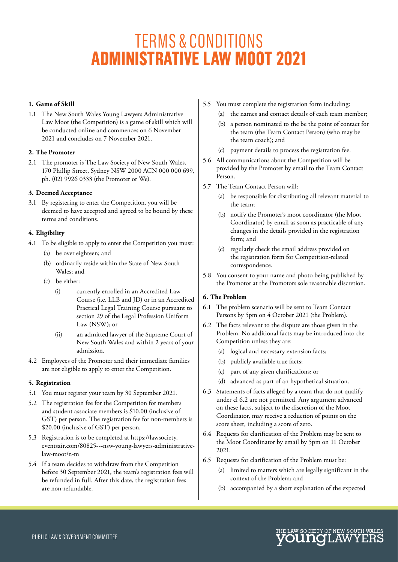## TERMS & CONDITIONS **ADMINISTRATIVE LAW MOOT 2021**

#### **1. Game of Skill**

1.1 The New South Wales Young Lawyers Administrative Law Moot (the Competition) is a game of skill which will be conducted online and commences on 6 November 2021 and concludes on 7 November 2021.

#### **2. The Promoter**

2.1 The promoter is The Law Society of New South Wales, 170 Phillip Street, Sydney NSW 2000 ACN 000 000 699, ph. (02) 9926 0333 (the Promoter or We).

#### **3. Deemed Acceptance**

3.1 By registering to enter the Competition, you will be deemed to have accepted and agreed to be bound by these terms and conditions.

#### **4. Eligibility**

- 4.1 To be eligible to apply to enter the Competition you must:
	- (a) be over eighteen; and
	- (b) ordinarily reside within the State of New South Wales; and
	- (c) be either:
		- (i) currently enrolled in an Accredited Law Course (i.e. LLB and JD) or in an Accredited Practical Legal Training Course pursuant to section 29 of the Legal Profession Uniform Law (NSW); or
		- (ii) an admitted lawyer of the Supreme Court of New South Wales and within 2 years of your admission.
- 4.2 Employees of the Promoter and their immediate families are not eligible to apply to enter the Competition.

#### **5. Registration**

- 5.1 You must register your team by 30 September 2021.
- 5.2 The registration fee for the Competition for members and student associate members is \$10.00 (inclusive of GST) per person. The registration fee for non-members is \$20.00 (inclusive of GST) per person.
- 5.3 Registration is to be completed at https://lawsociety. eventsair.com/80825---nsw-young-lawyers-administrativelaw-moot/n-m
- 5.4 If a team decides to withdraw from the Competition before 30 September 2021, the team's registration fees will be refunded in full. After this date, the registration fees are non-refundable.
- 5.5 You must complete the registration form including:
	- (a) the names and contact details of each team member;
	- (b) a person nominated to the be the point of contact for the team (the Team Contact Person) (who may be the team coach); and
	- (c) payment details to process the registration fee.
- 5.6 All communications about the Competition will be provided by the Promoter by email to the Team Contact Person.
- 5.7 The Team Contact Person will:
	- (a) be responsible for distributing all relevant material to the team;
	- (b) notify the Promoter's moot coordinator (the Moot Coordinator) by email as soon as practicable of any changes in the details provided in the registration form; and
	- (c) regularly check the email address provided on the registration form for Competition-related correspondence.
- 5.8 You consent to your name and photo being published by the Promotor at the Promotors sole reasonable discretion.

#### **6. The Problem**

- 6.1 The problem scenario will be sent to Team Contact Persons by 5pm on 4 October 2021 (the Problem).
- 6.2 The facts relevant to the dispute are those given in the Problem. No additional facts may be introduced into the Competition unless they are:
	- (a) logical and necessary extension facts;
	- (b) publicly available true facts;
	- (c) part of any given clarifications; or
	- (d) advanced as part of an hypothetical situation.
- 6.3 Statements of facts alleged by a team that do not qualify under cl 6.2 are not permitted. Any argument advanced on these facts, subject to the discretion of the Moot Coordinator, may receive a reduction of points on the score sheet, including a score of zero.
- 6.4 Requests for clarification of the Problem may be sent to the Moot Coordinator by email by 5pm on 11 October 2021.
- 6.5 Requests for clarification of the Problem must be:
	- (a) limited to matters which are legally significant in the context of the Problem; and
	- (b) accompanied by a short explanation of the expected

HE LAW SOCIETY OF NEW SOUTH WALES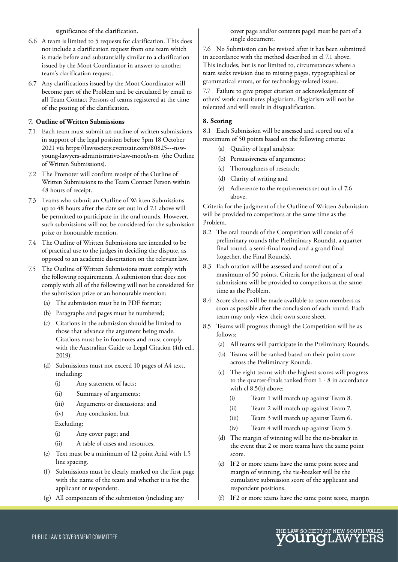significance of the clarification.

- 6.6 A team is limited to 5 requests for clarification. This does not include a clarification request from one team which is made before and substantially similar to a clarification issued by the Moot Coordinator in answer to another team's clarification request.
- 6.7 Any clarifications issued by the Moot Coordinator will become part of the Problem and be circulated by email to all Team Contact Persons of teams registered at the time of the posting of the clarification.

#### **7. Outline of Written Submissions**

- 7.1 Each team must submit an outline of written submissions in support of the legal position before 5pm 18 October 2021 via https://lawsociety.eventsair.com/80825---nswyoung-lawyers-administrative-law-moot/n-m (the Outline of Written Submissions).
- 7.2 The Promoter will confirm receipt of the Outline of Written Submissions to the Team Contact Person within 48 hours of receipt.
- 7.3 Teams who submit an Outline of Written Submissions up to 48 hours after the date set out in cl 7.1 above will be permitted to participate in the oral rounds. However, such submissions will not be considered for the submission prize or honourable mention.
- 7.4 The Outline of Written Submissions are intended to be of practical use to the judges in deciding the dispute, as opposed to an academic dissertation on the relevant law.
- 7.5 The Outline of Written Submissions must comply with the following requirements. A submission that does not comply with all of the following will not be considered for the submission prize or an honourable mention:
	- (a) The submission must be in PDF format;
	- (b) Paragraphs and pages must be numbered;
	- (c) Citations in the submission should be limited to those that advance the argument being made. Citations must be in footnotes and must comply with the Australian Guide to Legal Citation (4th ed., 2019).
	- (d) Submissions must not exceed 10 pages of A4 text, including:
		- (i) Any statement of facts;
		- (ii) Summary of arguments;
		- (iii) Arguments or discussions; and
		- (iv) Any conclusion, but

Excluding:

- (i) Any cover page; and
- (ii) A table of cases and resources.
- (e) Text must be a minimum of 12 point Arial with 1.5 line spacing.
- (f) Submissions must be clearly marked on the first page with the name of the team and whether it is for the applicant or respondent.
- (g) All components of the submission (including any

cover page and/or contents page) must be part of a single document.

7.6 No Submission can be revised after it has been submitted in accordance with the method described in cl 7.1 above. This includes, but is not limited to, circumstances where a team seeks revision due to missing pages, typographical or grammatical errors, or for technology-related issues.

7.7 Failure to give proper citation or acknowledgment of others' work constitutes plagiarism. Plagiarism will not be tolerated and will result in disqualification.

#### **8. Scoring**

8.1 Each Submission will be assessed and scored out of a maximum of 50 points based on the following criteria:

- (a) Quality of legal analysis;
- (b) Persuasiveness of arguments;
- (c) Thoroughness of research;
- (d) Clarity of writing and
- (e) Adherence to the requirements set out in cl 7.6 above.

Criteria for the judgment of the Outline of Written Submission will be provided to competitors at the same time as the Problem.

- 8.2 The oral rounds of the Competition will consist of 4 preliminary rounds (the Preliminary Rounds), a quarter final round, a semi-final round and a grand final (together, the Final Rounds).
- 8.3 Each oration will be assessed and scored out of a maximum of 50 points. Criteria for the judgment of oral submissions will be provided to competitors at the same time as the Problem.
- 8.4 Score sheets will be made available to team members as soon as possible after the conclusion of each round. Each team may only view their own score sheet.
- 8.5 Teams will progress through the Competition will be as follows:
	- (a) All teams will participate in the Preliminary Rounds.
	- (b) Teams will be ranked based on their point score across the Preliminary Rounds.
	- (c) The eight teams with the highest scores will progress to the quarter-finals ranked from 1 - 8 in accordance with cl 8.5(b) above:
		- (i) Team 1 will match up against Team 8.
		- (ii) Team 2 will match up against Team 7.
		- (iii) Team 3 will match up against Team 6.
		- (iv) Team 4 will match up against Team 5.
	- (d) The margin of winning will be the tie-breaker in the event that 2 or more teams have the same point score.
	- (e) If 2 or more teams have the same point score and margin of winning, the tie-breaker will be the cumulative submission score of the applicant and respondent positions.
	- (f) If 2 or more teams have the same point score, margin

HE LAW SOCIETY OF NEW SOUTH WALES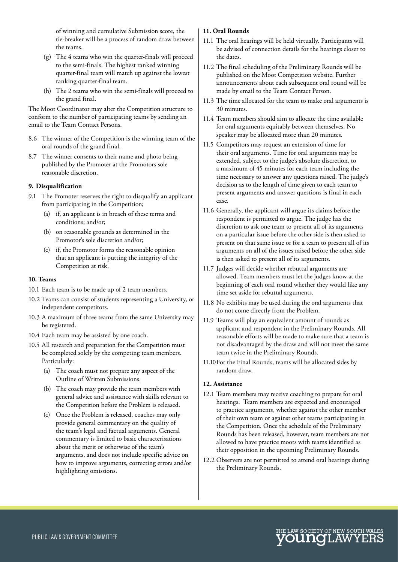of winning and cumulative Submission score, the tie-breaker will be a process of random draw between the teams.

- (g) The 4 teams who win the quarter-finals will proceed to the semi-finals. The highest ranked winning quarter-final team will match up against the lowest ranking quarter-final team.
- (h) The 2 teams who win the semi-finals will proceed to the grand final.

The Moot Coordinator may alter the Competition structure to conform to the number of participating teams by sending an email to the Team Contact Persons.

- 8.6 The winner of the Competition is the winning team of the oral rounds of the grand final.
- 8.7 The winner consents to their name and photo being published by the Promoter at the Promotors sole reasonable discretion.

#### **9. Disqualification**

- 9.1 The Promoter reserves the right to disqualify an applicant from participating in the Competition;
	- (a) if, an applicant is in breach of these terms and conditions; and/or;
	- (b) on reasonable grounds as determined in the Promotor's sole discretion and/or;
	- (c) if, the Promotor forms the reasonable opinion that an applicant is putting the integrity of the Competition at risk.

#### **10. Teams**

- 10.1 Each team is to be made up of 2 team members.
- 10.2 Teams can consist of students representing a University, or independent competitors.
- 10.3 A maximum of three teams from the same University may be registered.
- 10.4 Each team may be assisted by one coach.
- 10.5 All research and preparation for the Competition must be completed solely by the competing team members. Particularly:
	- (a) The coach must not prepare any aspect of the Outline of Written Submissions.
	- (b) The coach may provide the team members with general advice and assistance with skills relevant to the Competition before the Problem is released.
	- (c) Once the Problem is released, coaches may only provide general commentary on the quality of the team's legal and factual arguments. General commentary is limited to basic characterisations about the merit or otherwise of the team's arguments, and does not include specific advice on how to improve arguments, correcting errors and/or highlighting omissions.

#### **11. Oral Rounds**

- 11.1 The oral hearings will be held virtually. Participants will be advised of connection details for the hearings closer to the dates.
- 11.2 The final scheduling of the Preliminary Rounds will be published on the Moot Competition website. Further announcements about each subsequent oral round will be made by email to the Team Contact Person.
- 11.3 The time allocated for the team to make oral arguments is 30 minutes.
- 11.4 Team members should aim to allocate the time available for oral arguments equitably between themselves. No speaker may be allocated more than 20 minutes.
- 11.5 Competitors may request an extension of time for their oral arguments. Time for oral arguments may be extended, subject to the judge's absolute discretion, to a maximum of 45 minutes for each team including the time necessary to answer any questions raised. The judge's decision as to the length of time given to each team to present arguments and answer questions is final in each case.
- 11.6 Generally, the applicant will argue its claims before the respondent is permitted to argue. The judge has the discretion to ask one team to present all of its arguments on a particular issue before the other side is then asked to present on that same issue or for a team to present all of its arguments on all of the issues raised before the other side is then asked to present all of its arguments.
- 11.7 Judges will decide whether rebuttal arguments are allowed. Team members must let the judges know at the beginning of each oral round whether they would like any time set aside for rebuttal arguments.
- 11.8 No exhibits may be used during the oral arguments that do not come directly from the Problem.
- 11.9 Teams will play an equivalent amount of rounds as applicant and respondent in the Preliminary Rounds. All reasonable efforts will be made to make sure that a team is not disadvantaged by the draw and will not meet the same team twice in the Preliminary Rounds.
- 11.10 For the Final Rounds, teams will be allocated sides by random draw.

#### **12. Assistance**

- 12.1 Team members may receive coaching to prepare for oral hearings. Team members are expected and encouraged to practice arguments, whether against the other member of their own team or against other teams participating in the Competition. Once the schedule of the Preliminary Rounds has been released, however, team members are not allowed to have practice moots with teams identified as their opposition in the upcoming Preliminary Rounds.
- 12.2 Observers are not permitted to attend oral hearings during the Preliminary Rounds.

HE LAW SOCIETY OF NEW SOUTH WALES